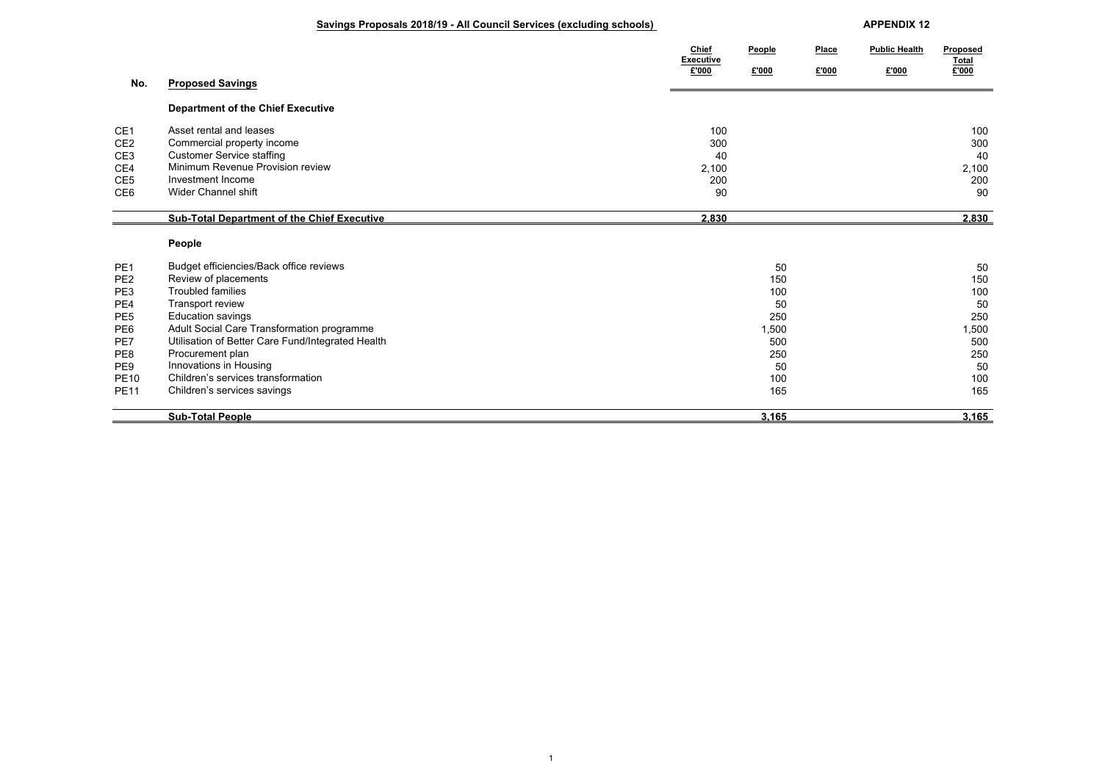## **Savings Proposals 2018/19 - All Council Services (excluding schools) APPENDIX 12**

|                 |                                                    | Chief<br><b>Executive</b> | People | Place | <b>Public Health</b> | Proposed<br><b>Total</b> |
|-----------------|----------------------------------------------------|---------------------------|--------|-------|----------------------|--------------------------|
|                 |                                                    | £'000                     | £'000  | £'000 | £'000                | £'000                    |
| No.             | <b>Proposed Savings</b>                            |                           |        |       |                      |                          |
|                 | <b>Department of the Chief Executive</b>           |                           |        |       |                      |                          |
| CE <sub>1</sub> | Asset rental and leases                            | 100                       |        |       |                      | 100                      |
| CE <sub>2</sub> | Commercial property income                         | 300                       |        |       |                      | 300                      |
| CE3             | <b>Customer Service staffing</b>                   | 40                        |        |       |                      | 40                       |
| CE4             | Minimum Revenue Provision review                   | 2,100                     |        |       |                      | 2,100                    |
| CE <sub>5</sub> | Investment Income                                  | 200                       |        |       |                      | 200                      |
| CE6             | Wider Channel shift                                | 90                        |        |       |                      | 90                       |
|                 | <b>Sub-Total Department of the Chief Executive</b> | 2,830                     |        |       |                      | 2,830                    |
|                 | People                                             |                           |        |       |                      |                          |
| PE <sub>1</sub> | Budget efficiencies/Back office reviews            |                           | 50     |       |                      | 50                       |
| PE <sub>2</sub> | Review of placements                               |                           | 150    |       |                      | 150                      |
| PE3             | <b>Troubled families</b>                           |                           | 100    |       |                      | 100                      |
| PE4             | Transport review                                   |                           | 50     |       |                      | 50                       |
| PE <sub>5</sub> | Education savings                                  |                           | 250    |       |                      | 250                      |
| PE6             | Adult Social Care Transformation programme         |                           | 1,500  |       |                      | 1,500                    |
| PE7             | Utilisation of Better Care Fund/Integrated Health  |                           | 500    |       |                      | 500                      |
| PE8             | Procurement plan                                   |                           | 250    |       |                      | 250                      |
| PE9             | Innovations in Housing                             |                           | 50     |       |                      | 50                       |
| <b>PE10</b>     | Children's services transformation                 |                           | 100    |       |                      | 100                      |
| <b>PE11</b>     | Children's services savings                        |                           | 165    |       |                      | 165                      |
|                 | <b>Sub-Total People</b>                            |                           | 3.165  |       |                      | 3.165                    |